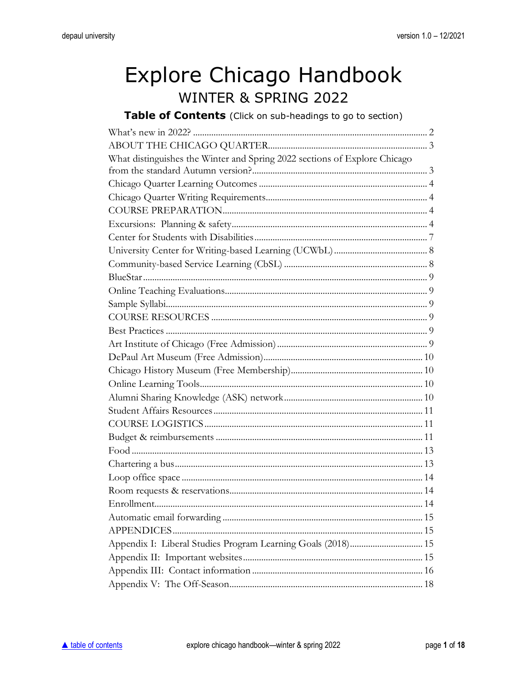# <span id="page-0-0"></span>Explore Chicago Handbook WINTER & SPRING 2022

Table of Contents (Click on sub-headings to go to section)

| What distinguishes the Winter and Spring 2022 sections of Explore Chicago |  |
|---------------------------------------------------------------------------|--|
|                                                                           |  |
|                                                                           |  |
|                                                                           |  |
|                                                                           |  |
|                                                                           |  |
|                                                                           |  |
|                                                                           |  |
|                                                                           |  |
|                                                                           |  |
|                                                                           |  |
|                                                                           |  |
|                                                                           |  |
|                                                                           |  |
|                                                                           |  |
|                                                                           |  |
|                                                                           |  |
|                                                                           |  |
|                                                                           |  |
|                                                                           |  |
|                                                                           |  |
|                                                                           |  |
|                                                                           |  |
|                                                                           |  |
|                                                                           |  |
|                                                                           |  |
|                                                                           |  |
|                                                                           |  |
|                                                                           |  |
| Appendix I: Liberal Studies Program Learning Goals (2018) 15              |  |
|                                                                           |  |
|                                                                           |  |
|                                                                           |  |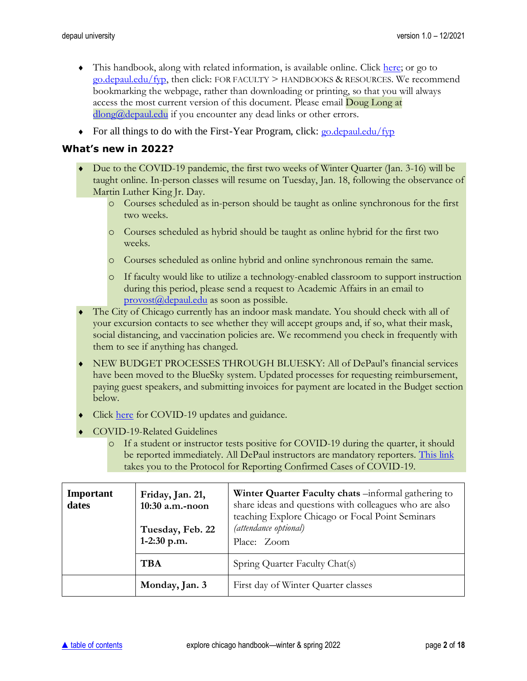- $\bullet$  This handbook, along with related information, is available online. Click [here;](http://academics.depaul.edu/liberal-studies/first-year-program/for-faculty/Pages/handbooks-resources.aspx) or go to  $\frac{g \cdot d}{g \cdot d}$  depaul.edu/fyp, then click: FOR FACULTY > HANDBOOKS & RESOURCES. We recommend bookmarking the webpage, rather than downloading or printing, so that you will always access the most current version of this document. Please email **Doug Long at** [dlong@depaul.edu](mailto:dlong@depaul.edu) if you encounter any dead links or other errors.
- For all things to do with the First-Year Program, click:  $\frac{1}{20}$  equaledu/fyp

#### <span id="page-1-0"></span>**What's new in 2022?**

- Due to the COVID-19 pandemic, the first two weeks of Winter Quarter (Jan. 3-16) will be taught online. In-person classes will resume on Tuesday, Jan. 18, following the observance of Martin Luther King Jr. Day.
	- o Courses scheduled as in-person should be taught as online synchronous for the first two weeks.
	- o Courses scheduled as hybrid should be taught as online hybrid for the first two weeks.
	- o Courses scheduled as online hybrid and online synchronous remain the same.
	- o If faculty would like to utilize a technology-enabled classroom to support instruction during this period, please send a request to Academic Affairs in an email to [provost@depaul.edu](mailto:provost@depaul.edu) as soon as possible.
- The City of Chicago currently has an indoor mask mandate. You should check with all of your excursion contacts to see whether they will accept groups and, if so, what their mask, social distancing, and vaccination policies are. We recommend you check in frequently with them to see if anything has changed.
- NEW BUDGET PROCESSES THROUGH BLUESKY: All of DePaul's financial services have been moved to the BlueSky system. Updated processes for requesting reimbursement, paying guest speakers, and submitting invoices for payment are located in the Budget section below.
- Click [here](https://resources.depaul.edu/coronavirus/Pages/default.aspx) for COVID-19 updates and guidance.
- ◆ COVID-19-Related Guidelines
	- o If a student or instructor tests positive for COVID-19 during the quarter, it should be reported immediately. All DePaul instructors are mandatory reporters. [This link](https://resources.depaul.edu/coronavirus-covid-19-updates/resources/covid-19-reporting-protocol/Pages/default.aspx) takes you to the Protocol for Reporting Confirmed Cases of COVID-19.

| Important<br>dates | Friday, Jan. 21,<br>10:30 a.m.-noon<br>Tuesday, Feb. 22<br>$1-2:30$ p.m. | Winter Quarter Faculty chats -informal gathering to<br>share ideas and questions with colleagues who are also<br>teaching Explore Chicago or Focal Point Seminars<br>(attendance optional)<br>Place: Zoom |
|--------------------|--------------------------------------------------------------------------|-----------------------------------------------------------------------------------------------------------------------------------------------------------------------------------------------------------|
|                    | <b>TBA</b>                                                               | Spring Quarter Faculty Chat(s)                                                                                                                                                                            |
|                    | Monday, Jan. 3                                                           | First day of Winter Quarter classes                                                                                                                                                                       |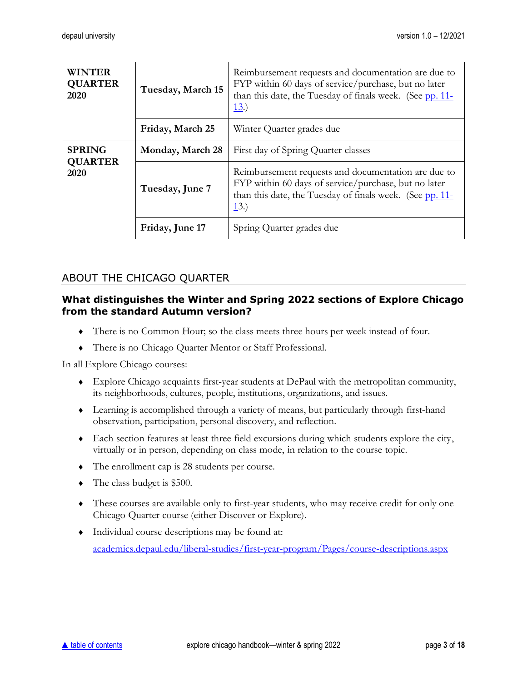| <b>WINTER</b><br><b>QUARTER</b><br>2020 | Tuesday, March 15 | Reimbursement requests and documentation are due to<br>FYP within 60 days of service/purchase, but no later<br>than this date, the Tuesday of finals week. (See pp. 11-<br>13.) |  |
|-----------------------------------------|-------------------|---------------------------------------------------------------------------------------------------------------------------------------------------------------------------------|--|
|                                         | Friday, March 25  | Winter Quarter grades due                                                                                                                                                       |  |
| <b>SPRING</b><br><b>QUARTER</b><br>2020 | Monday, March 28  | First day of Spring Quarter classes                                                                                                                                             |  |
|                                         | Tuesday, June 7   | Reimbursement requests and documentation are due to<br>FYP within 60 days of service/purchase, but no later<br>than this date, the Tuesday of finals week. (See pp. 11-<br>13.) |  |
|                                         | Friday, June 17   | Spring Quarter grades due                                                                                                                                                       |  |

## <span id="page-2-0"></span>ABOUT THE CHICAGO QUARTER

#### <span id="page-2-1"></span>**What distinguishes the Winter and Spring 2022 sections of Explore Chicago from the standard Autumn version?**

- There is no Common Hour; so the class meets three hours per week instead of four.
- There is no Chicago Quarter Mentor or Staff Professional.

In all Explore Chicago courses:

- Explore Chicago acquaints first-year students at DePaul with the metropolitan community, its neighborhoods, cultures, people, institutions, organizations, and issues.
- Learning is accomplished through a variety of means, but particularly through first-hand observation, participation, personal discovery, and reflection.
- Each section features at least three field excursions during which students explore the city, virtually or in person, depending on class mode, in relation to the course topic.
- The enrollment cap is 28 students per course.
- $\bullet$  The class budget is \$500.
- These courses are available only to first-year students, who may receive credit for only one Chicago Quarter course (either Discover or Explore).
- Individual course descriptions may be found at: [academics.depaul.edu/liberal-studies/first-year-program/Pages/course-descriptions.aspx](http://academics.depaul.edu/liberal-studies/first-year-program/Pages/course-descriptions.aspx)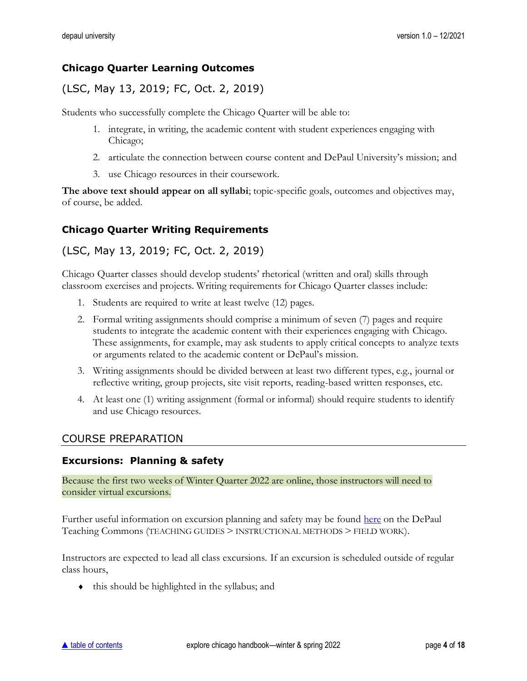#### <span id="page-3-0"></span>**Chicago Quarter Learning Outcomes**

## (LSC, May 13, 2019; FC, Oct. 2, 2019)

Students who successfully complete the Chicago Quarter will be able to:

- 1. integrate, in writing, the academic content with student experiences engaging with Chicago;
- 2. articulate the connection between course content and DePaul University's mission; and
- 3. use Chicago resources in their coursework.

**The above text should appear on all syllabi**; topic-specific goals, outcomes and objectives may, of course, be added.

## <span id="page-3-1"></span>**Chicago Quarter Writing Requirements**

#### (LSC, May 13, 2019; FC, Oct. 2, 2019)

Chicago Quarter classes should develop students' rhetorical (written and oral) skills through classroom exercises and projects. Writing requirements for Chicago Quarter classes include:

- 1. Students are required to write at least twelve (12) pages.
- 2. Formal writing assignments should comprise a minimum of seven (7) pages and require students to integrate the academic content with their experiences engaging with Chicago. These assignments, for example, may ask students to apply critical concepts to analyze texts or arguments related to the academic content or DePaul's mission.
- 3. Writing assignments should be divided between at least two different types, e.g., journal or reflective writing, group projects, site visit reports, reading-based written responses, etc.
- 4. At least one (1) writing assignment (formal or informal) should require students to identify and use Chicago resources.

#### <span id="page-3-2"></span>COURSE PREPARATION

#### <span id="page-3-3"></span>**Excursions: Planning & safety**

Because the first two weeks of Winter Quarter 2022 are online, those instructors will need to consider virtual excursions.

Further useful information on excursion planning and safety may be found [here](https://resources.depaul.edu/teaching-commons/teaching-guides/instructional-methods/Pages/field-work.aspx) on the DePaul Teaching Commons (TEACHING GUIDES > INSTRUCTIONAL METHODS > FIELD WORK).

Instructors are expected to lead all class excursions. If an excursion is scheduled outside of regular class hours,

this should be highlighted in the syllabus; and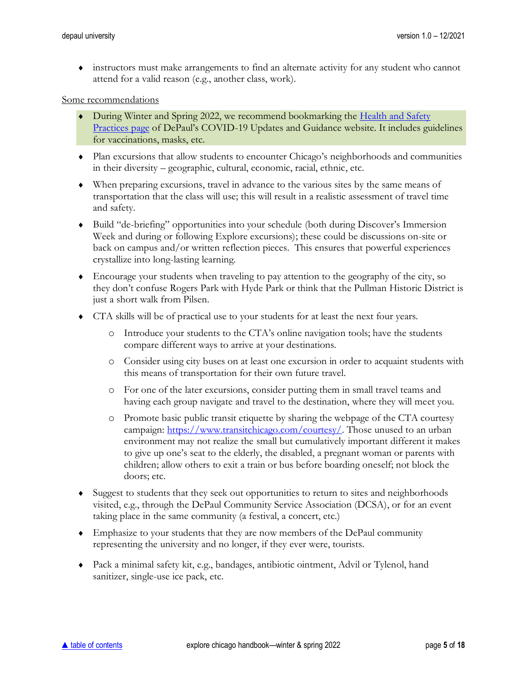instructors must make arrangements to find an alternate activity for any student who cannot attend for a valid reason (e.g., another class, work).

#### Some recommendations

- During Winter and Spring 2022, we recommend bookmarking the Health and Safety [Practices page](https://resources.depaul.edu/coronavirus/guidance/health-safety-practices/Pages/default.aspx) of DePaul's COVID-19 Updates and Guidance website. It includes guidelines for vaccinations, masks, etc.
- Plan excursions that allow students to encounter Chicago's neighborhoods and communities in their diversity – geographic, cultural, economic, racial, ethnic, etc.
- When preparing excursions, travel in advance to the various sites by the same means of transportation that the class will use; this will result in a realistic assessment of travel time and safety.
- Build "de-briefing" opportunities into your schedule (both during Discover's Immersion Week and during or following Explore excursions); these could be discussions on-site or back on campus and/or written reflection pieces. This ensures that powerful experiences crystallize into long-lasting learning.
- Encourage your students when traveling to pay attention to the geography of the city, so they don't confuse Rogers Park with Hyde Park or think that the Pullman Historic District is just a short walk from Pilsen.
- CTA skills will be of practical use to your students for at least the next four years.
	- o Introduce your students to the CTA's online navigation tools; have the students compare different ways to arrive at your destinations.
	- o Consider using city buses on at least one excursion in order to acquaint students with this means of transportation for their own future travel.
	- o For one of the later excursions, consider putting them in small travel teams and having each group navigate and travel to the destination, where they will meet you.
	- o Promote basic public transit etiquette by sharing the webpage of the CTA courtesy campaign: [https://www.transitchicago.com/courtesy/.](https://www.transitchicago.com/courtesy/) Those unused to an urban environment may not realize the small but cumulatively important different it makes to give up one's seat to the elderly, the disabled, a pregnant woman or parents with children; allow others to exit a train or bus before boarding oneself; not block the doors; etc.
- Suggest to students that they seek out opportunities to return to sites and neighborhoods visited, e.g., through the DePaul Community Service Association (DCSA), or for an event taking place in the same community (a festival, a concert, etc.)
- Emphasize to your students that they are now members of the DePaul community representing the university and no longer, if they ever were, tourists.
- Pack a minimal safety kit, e.g., bandages, antibiotic ointment, Advil or Tylenol, hand sanitizer, single-use ice pack, etc.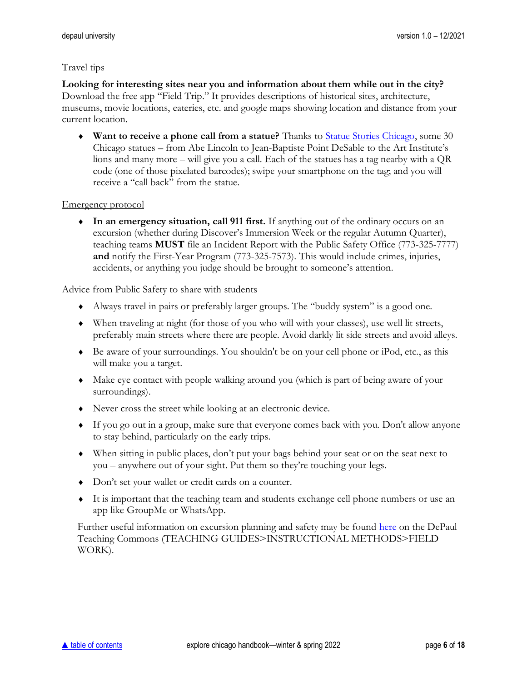#### Travel tips

**Looking for interesting sites near you and information about them while out in the city?** Download the free app "Field Trip." It provides descriptions of historical sites, architecture, museums, movie locations, eateries, etc. and google maps showing location and distance from your current location.

 **Want to receive a phone call from a statue?** Thanks to [Statue Stories Chicago,](http://www.statuestorieschicago.com/) some 30 Chicago statues – from Abe Lincoln to Jean-Baptiste Point DeSable to the Art Institute's lions and many more – will give you a call. Each of the statues has a tag nearby with a QR code (one of those pixelated barcodes); swipe your smartphone on the tag; and you will receive a "call back" from the statue.

#### Emergency protocol

 **In an emergency situation, call 911 first.** If anything out of the ordinary occurs on an excursion (whether during Discover's Immersion Week or the regular Autumn Quarter), teaching teams **MUST** file an Incident Report with the Public Safety Office (773-325-7777) **and** notify the First-Year Program (773-325-7573). This would include crimes, injuries, accidents, or anything you judge should be brought to someone's attention.

#### Advice from Public Safety to share with students

- Always travel in pairs or preferably larger groups. The "buddy system" is a good one.
- When traveling at night (for those of you who will with your classes), use well lit streets, preferably main streets where there are people. Avoid darkly lit side streets and avoid alleys.
- Be aware of your surroundings. You shouldn't be on your cell phone or iPod, etc., as this will make you a target.
- Make eye contact with people walking around you (which is part of being aware of your surroundings).
- Never cross the street while looking at an electronic device.
- If you go out in a group, make sure that everyone comes back with you. Don't allow anyone to stay behind, particularly on the early trips.
- When sitting in public places, don't put your bags behind your seat or on the seat next to you – anywhere out of your sight. Put them so they're touching your legs.
- Don't set your wallet or credit cards on a counter.
- It is important that the teaching team and students exchange cell phone numbers or use an app like GroupMe or WhatsApp.

Further useful information on excursion planning and safety may be found [here](https://resources.depaul.edu/teaching-commons/teaching-guides/instructional-methods/Pages/field-work.aspx) on the DePaul Teaching Commons (TEACHING GUIDES>INSTRUCTIONAL METHODS>FIELD WORK).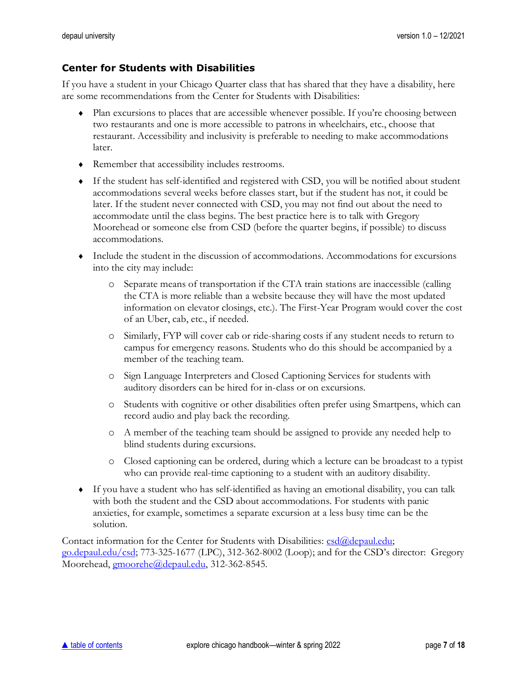#### <span id="page-6-0"></span>**Center for Students with Disabilities**

If you have a student in your Chicago Quarter class that has shared that they have a disability, here are some recommendations from the Center for Students with Disabilities:

- Plan excursions to places that are accessible whenever possible. If you're choosing between two restaurants and one is more accessible to patrons in wheelchairs, etc., choose that restaurant. Accessibility and inclusivity is preferable to needing to make accommodations later.
- Remember that accessibility includes restrooms.
- If the student has self-identified and registered with CSD, you will be notified about student accommodations several weeks before classes start, but if the student has not, it could be later. If the student never connected with CSD, you may not find out about the need to accommodate until the class begins. The best practice here is to talk with Gregory Moorehead or someone else from CSD (before the quarter begins, if possible) to discuss accommodations.
- Include the student in the discussion of accommodations. Accommodations for excursions into the city may include:
	- o Separate means of transportation if the CTA train stations are inaccessible (calling the CTA is more reliable than a website because they will have the most updated information on elevator closings, etc.). The First-Year Program would cover the cost of an Uber, cab, etc., if needed.
	- o Similarly, FYP will cover cab or ride-sharing costs if any student needs to return to campus for emergency reasons. Students who do this should be accompanied by a member of the teaching team.
	- o Sign Language Interpreters and Closed Captioning Services for students with auditory disorders can be hired for in-class or on excursions.
	- o Students with cognitive or other disabilities often prefer using Smartpens, which can record audio and play back the recording.
	- o A member of the teaching team should be assigned to provide any needed help to blind students during excursions.
	- o Closed captioning can be ordered, during which a lecture can be broadcast to a typist who can provide real-time captioning to a student with an auditory disability.
- If you have a student who has self-identified as having an emotional disability, you can talk with both the student and the CSD about accommodations. For students with panic anxieties, for example, sometimes a separate excursion at a less busy time can be the solution.

Contact information for the Center for Students with Disabilities:  $csd(\theta)$  depaul.edu; [go.depaul.edu/csd;](http://go.depaul.edu/csd) 773-325-1677 (LPC), 312-362-8002 (Loop); and for the CSD's director: Gregory Moorehead, [gmoorehe@depaul.edu,](mailto:gmoorehe@depaul.edu) 312-362-8545.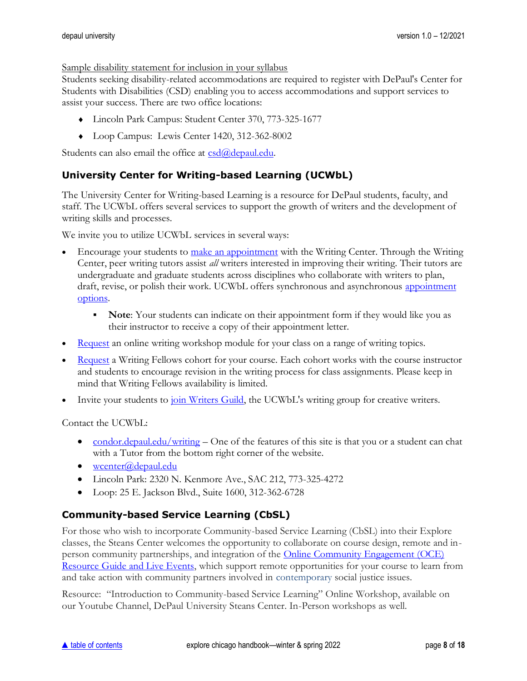Sample disability statement for inclusion in your syllabus

Students seeking disability-related accommodations are required to register with DePaul's Center for Students with Disabilities (CSD) enabling you to access accommodations and support services to assist your success. There are two office locations:

- Lincoln Park Campus: Student Center 370, 773-325-1677
- Loop Campus: Lewis Center 1420, 312-362-8002

Students can also email the office at  $csd(\theta)$  depaul.edu.

## <span id="page-7-0"></span>**University Center for Writing-based Learning (UCWbL)**

The University Center for Writing-based Learning is a resource for DePaul students, faculty, and staff. The UCWbL offers several services to support the growth of writers and the development of writing skills and processes.

We invite you to utilize UCWbL services in several ways:

- Encourage your students to [make an appointment](http://depaul.mywconline.com/) with the Writing Center. Through the Writing Center, peer writing tutors assist *all* writers interested in improving their writing. Their tutors are undergraduate and graduate students across disciplines who collaborate with writers to plan, draft, revise, or polish their work. UCWbL offers synchronous and asynchronous appointment [options.](https://condor.depaul.edu/writing/programs-writing-center-appointment-types.html)
	- **Note:** Your students can indicate on their appointment form if they would like you as their instructor to receive a copy of their appointment letter.
- [Request](https://condor.depaul.edu/writing/programs-workshops-request-a-workshop.html) an online writing workshop module for your class on a range of writing topics.
- [Request](https://condor.depaul.edu/writing/programs-writing-fellows.html) a Writing Fellows cohort for your course. Each cohort works with the course instructor and students to encourage revision in the writing process for class assignments. Please keep in mind that Writing Fellows availability is limited.
- Invite your students to *join Writers Guild*, the UCWbL's writing group for creative writers.

Contact the UCWbL:

- [condor.depaul.edu/writing](https://condor.depaul.edu/writing/) One of the features of this site is that you or a student can chat with a Tutor from the bottom right corner of the website.
- $\bullet$  [wcenter@depaul.edu](mailto:wcenter@depaul.edu)
- Lincoln Park: 2320 N. Kenmore Ave., SAC 212, 773-325-4272
- Loop: 25 E. Jackson Blvd., Suite 1600, 312-362-6728

## <span id="page-7-1"></span>**Community-based Service Learning (CbSL)**

For those who wish to incorporate Community-based Service Learning (CbSL) into their Explore classes, the Steans Center welcomes the opportunity to collaborate on course design, remote and inperson community partnerships, and integration of the [Online Community Engagement \(OCE\)](https://sites.google.com/depaul.edu/steans-oce/oce)  [Resource Guide and Live Events,](https://sites.google.com/depaul.edu/steans-oce/oce) which support remote opportunities for your course to learn from and take action with community partners involved in contemporary social justice issues.

Resource: "Introduction to Community-based Service Learning" Online Workshop, available on our Youtube Channel, DePaul University Steans Center. In-Person workshops as well.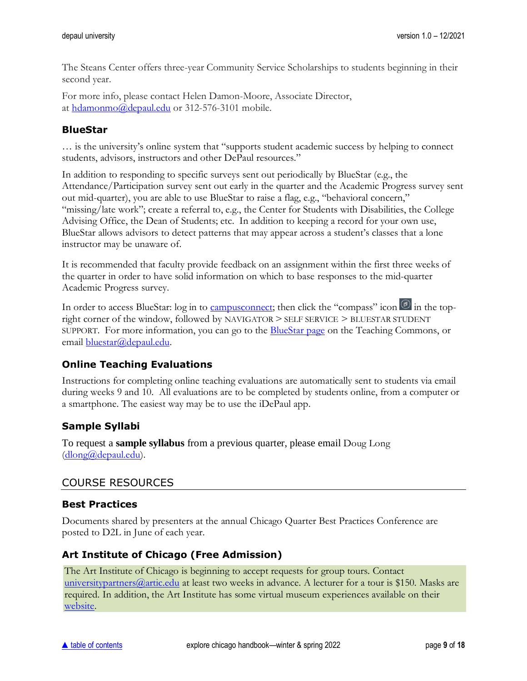The Steans Center offers three-year Community Service Scholarships to students beginning in their second year.

For more info, please contact Helen Damon-Moore, Associate Director, at [hdamonmo@depaul.edu](mailto:hdamonmo@depaul.edu) or 312-576-3101 mobile.

## <span id="page-8-0"></span>**BlueStar**

… is the university's online system that "supports student academic success by helping to connect students, advisors, instructors and other DePaul resources."

In addition to responding to specific surveys sent out periodically by BlueStar (e.g., the Attendance/Participation survey sent out early in the quarter and the Academic Progress survey sent out mid-quarter), you are able to use BlueStar to raise a flag, e.g., "behavioral concern," "missing/late work"; create a referral to, e.g., the Center for Students with Disabilities, the College Advising Office, the Dean of Students; etc. In addition to keeping a record for your own use, BlueStar allows advisors to detect patterns that may appear across a student's classes that a lone instructor may be unaware of.

It is recommended that faculty provide feedback on an assignment within the first three weeks of the quarter in order to have solid information on which to base responses to the mid-quarter Academic Progress survey.

In order to access BlueStar: log in to [campusconnect;](http://campusconnect.depaul.edu/) then click the "compass" icon  $\bullet$  in the topright corner of the window, followed by NAVIGATOR > SELF SERVICE > BLUESTAR STUDENT SUPPORT. For more information, you can go to the [BlueStar page](https://resources.depaul.edu/teaching-commons/teaching-guides/technology/Pages/bluestar.aspx) on the Teaching Commons, or email [bluestar@depaul.edu.](mailto:bluestar@depaul.edu)

## <span id="page-8-1"></span>**Online Teaching Evaluations**

Instructions for completing online teaching evaluations are automatically sent to students via email during weeks 9 and 10. All evaluations are to be completed by students online, from a computer or a smartphone. The easiest way may be to use the iDePaul app.

## <span id="page-8-2"></span>**Sample Syllabi**

To request a **sample syllabus** from a previous quarter, please email Doug Long [\(dlong@depaul.edu\)](mailto:dlong@depaul.edu).

#### <span id="page-8-3"></span>COURSE RESOURCES

#### <span id="page-8-4"></span>**Best Practices**

Documents shared by presenters at the annual Chicago Quarter Best Practices Conference are posted to D2L in June of each year.

#### <span id="page-8-5"></span>**Art Institute of Chicago (Free Admission)**

The Art Institute of Chicago is beginning to accept requests for group tours. Contact university partners  $@$  artic.edu at least two weeks in advance. A lecturer for a tour is \$150. Masks are required. In addition, the Art Institute has some virtual museum experiences available on their [website.](https://www.artic.edu/visit-us-virtually)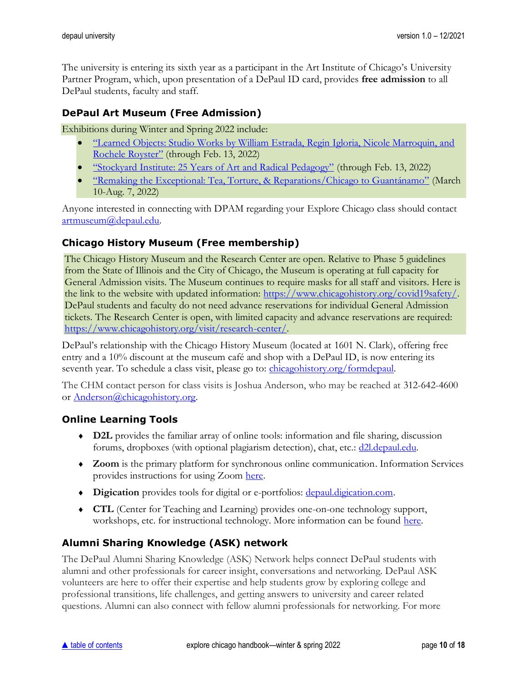The university is entering its sixth year as a participant in the Art Institute of Chicago's University Partner Program, which, upon presentation of a DePaul ID card, provides **free admission** to all DePaul students, faculty and staff.

## <span id="page-9-0"></span>**DePaul Art Museum (Free Admission)**

Exhibitions during Winter and Spring 2022 include:

- ["Learned Objects: Studio Works by William Estrada, Regin Igloria, Nicole Marroquin, and](https://resources.depaul.edu/art-museum/exhibitions/learned-objects/Pages/default.aspx)  [Rochele Royster"](https://resources.depaul.edu/art-museum/exhibitions/learned-objects/Pages/default.aspx) (through Feb. 13, 2022)
- ["Stockyard Institute: 25 Years of Art and Radical Pedagogy"](https://resources.depaul.edu/art-museum/exhibitions/stockyard-institute/Pages/default.aspx) (through Feb. 13, 2022)
- ["Remaking the Exceptional: Tea, Torture, & Reparations/Chicago to Guantánamo"](https://resources.depaul.edu/art-museum/exhibitions/Pages/remaking-the-exceptional.aspx) (March 10-Aug. 7, 2022)

Anyone interested in connecting with DPAM regarding your Explore Chicago class should contact [artmuseum@depaul.edu.](mailto:artmuseum@depaul.edu)

## <span id="page-9-1"></span>**Chicago History Museum (Free membership)**

The Chicago History Museum and the Research Center are open. Relative to Phase 5 guidelines from the State of Illinois and the City of Chicago, the Museum is operating at full capacity for General Admission visits. The Museum continues to require masks for all staff and visitors. Here is the link to the website with updated information: [https://www.chicagohistory.org/covid19safety/.](https://www.chicagohistory.org/covid19safety/) DePaul students and faculty do not need advance reservations for individual General Admission tickets. The Research Center is open, with limited capacity and advance reservations are required: [https://www.chicagohistory.org/visit/research-center/.](https://www.chicagohistory.org/visit/research-center/)

DePaul's relationship with the Chicago History Museum (located at 1601 N. Clark), offering free entry and a 10% discount at the museum café and shop with a DePaul ID, is now entering its seventh year. To schedule a class visit, please go to: *[chicagohistory.org/formdepaul.](http://www.chicagohistory.org/formdepaul)* 

The CHM contact person for class visits is Joshua Anderson, who may be reached at 312-642-4600 or [Anderson@chicagohistory.org.](mailto:Anderson@chicagohistory.org)

#### <span id="page-9-2"></span>**Online Learning Tools**

- **D2L** provides the familiar array of online tools: information and file sharing, discussion forums, dropboxes (with optional plagiarism detection), chat, etc.: [d2l.depaul.edu.](http://d2l.depaul.edu/)
- **Zoom** is the primary platform for synchronous online communication. Information Services provides instructions for using Zoom [here.](https://offices.depaul.edu/information-services/services/av-design-consulting/Pages/Zoom.aspx)
- **Digication** provides tools for digital or e-portfolios: <u>depaul.digication.com</u>.
- **CTL** (Center for Teaching and Learning) provides one-on-one technology support, workshops, etc. for instructional technology. More information can be found [here.](https://resources.depaul.edu/teaching-commons/teaching-guides/Pages/online-teaching.aspx)

## <span id="page-9-3"></span>**Alumni Sharing Knowledge (ASK) network**

The DePaul Alumni Sharing Knowledge (ASK) Network helps connect DePaul students with alumni and other professionals for career insight, conversations and networking. DePaul ASK volunteers are here to offer their expertise and help students grow by exploring college and professional transitions, life challenges, and getting answers to university and career related questions. Alumni can also connect with fellow alumni professionals for networking. For more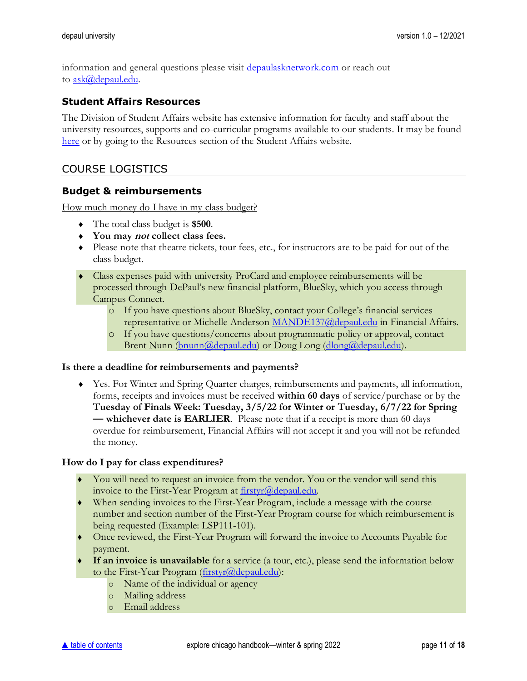information and general questions please visit [depaulasknetwork.com](https://www.depaulasknetwork.com/) or reach out to [ask@depaul.edu.](mailto:ask@depaul.edu)

#### <span id="page-10-0"></span>**Student Affairs Resources**

The Division of Student Affairs website has extensive information for faculty and staff about the university resources, supports and co-curricular programs available to our students. It may be found [here](https://offices.depaul.edu/student-affairs/resources/faculty-staff/Pages/default.aspx) or by going to the Resources section of the Student Affairs website.

#### <span id="page-10-1"></span>COURSE LOGISTICS

#### <span id="page-10-2"></span>**Budget & reimbursements**

How much money do I have in my class budget?

- The total class budget is **\$500**.
- **You may not collect class fees.**
- Please note that theatre tickets, tour fees, etc., for instructors are to be paid for out of the class budget.
- Class expenses paid with university ProCard and employee reimbursements will be processed through DePaul's new financial platform, BlueSky, which you access through Campus Connect.
	- o If you have questions about BlueSky, contact your College's financial services representative or Michelle Anderson [MANDE137@depaul.edu](mailto:MANDE137@depaul.edu) in Financial Affairs.
	- o If you have questions/concerns about programmatic policy or approval, contact Brent Nunn [\(bnunn@depaul.edu\)](mailto:bnunn@depaul.edu) or Doug Long [\(dlong@depaul.edu\)](mailto:dlong@depaul.edu).

#### **Is there a deadline for reimbursements and payments?**

 Yes. For Winter and Spring Quarter charges, reimbursements and payments, all information, forms, receipts and invoices must be received **within 60 days** of service/purchase or by the **Tuesday of Finals Week: Tuesday, 3/5/22 for Winter or Tuesday, 6/7/22 for Spring — whichever date is EARLIER**. Please note that if a receipt is more than 60 days overdue for reimbursement, Financial Affairs will not accept it and you will not be refunded the money.

#### **How do I pay for class expenditures?**

- ♦ You will need to request an invoice from the vendor. You or the vendor will send this invoice to the First-Year Program at [firstyr@depaul.edu.](mailto:firstyr@depaul.edu)
- ♦ When sending invoices to the First-Year Program, include a message with the course number and section number of the First-Year Program course for which reimbursement is being requested (Example: LSP111-101).
- ♦ Once reviewed, the First-Year Program will forward the invoice to Accounts Payable for payment.
- ♦ **If an invoice is unavailable** for a service (a tour, etc.), please send the information below to the First-Year Program [\(firstyr@depaul.edu\)](mailto:firstyr@depaul.edu):
	- o Name of the individual or agency
	- o Mailing address
	- o Email address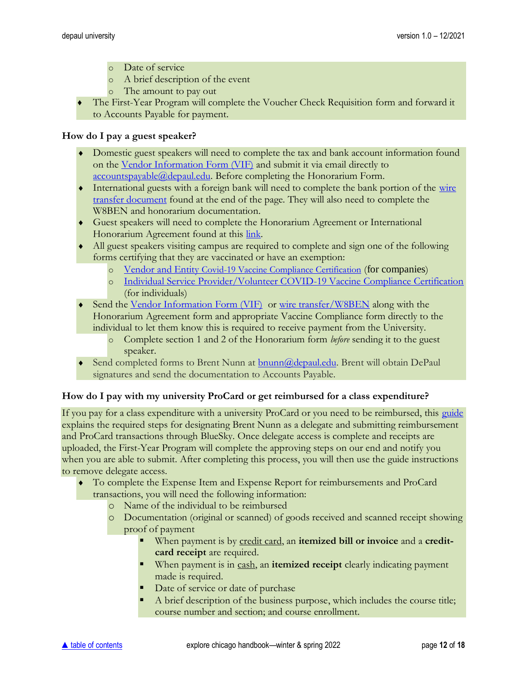- o Date of service
- o A brief description of the event
- o The amount to pay out
- The First-Year Program will complete the Voucher Check Requisition form and forward it to Accounts Payable for payment.

#### **How do I pay a guest speaker?**

- Domestic guest speakers will need to complete the tax and bank account information found on the [Vendor Information Form \(VIF\)](https://financialaffairs.depaul.edu/forms/Vendor%20Information%20Form.pdf) and submit it via email directly to [accountspayable@depaul.edu.](mailto:accountspayable@depaul.edu) Before completing the Honorarium Form.
- International guests with a foreign bank will need to complete the bank portion of the wire [transfer document](https://financialaffairs.depaul.edu/forms/index.htm) found at the end of the page. They will also need to complete the W8BEN and honorarium documentation.
- Guest speakers will need to complete the Honorarium Agreement or International Honorarium Agreement found at this [link.](https://financialaffairs.depaul.edu/payment/honorarium.htm)
- All guest speakers visiting campus are required to complete and sign one of the following forms certifying that they are vaccinated or have an exemption:
	- o Vendor and Entity [Covid-19 Vaccine Compliance Certification](https://resources.depaul.edu/coronavirus/resources/vaccine/Documents/Company%20Executive%20Order%20Annual%20Compliance%20Form%209.10.21.pdf) (for companies)
	- o [Individual Service Provider/Volunteer COVID-19 Vaccine Compliance Certification](https://resources.depaul.edu/coronavirus/resources/vaccine/Documents/Individual%20Executive%20Order%20Annual%20Compliance%20Form%20Final%209.10.21.pdf) (for individuals)
- Send the [Vendor Information Form \(VIF\)](https://financialaffairs.depaul.edu/forms/Vendor%20Information%20Form.pdf) or [wire transfer/W8BEN](https://financialaffairs.depaul.edu/forms/index.htm) along with the Honorarium Agreement form and appropriate Vaccine Compliance form directly to the individual to let them know this is required to receive payment from the University.
	- o Complete section 1 and 2 of the Honorarium form *before* sending it to the guest speaker.
- Send completed forms to Brent Nunn at [bnunn@depaul.edu.](mailto:bnunn@depaul.edu) Brent will obtain DePaul signatures and send the documentation to Accounts Payable.

#### **How do I pay with my university ProCard or get reimbursed for a class expenditure?**

If you pay for a class expenditure with a university ProCard or you need to be reimbursed, this [guide](https://d2l.depaul.edu/d2l/le/content/809451/viewContent/8498021/View) explains the required steps for designating Brent Nunn as a delegate and submitting reimbursement and ProCard transactions through BlueSky. Once delegate access is complete and receipts are uploaded, the First-Year Program will complete the approving steps on our end and notify you when you are able to submit. After completing this process, you will then use the guide instructions to remove delegate access.

- To complete the Expense Item and Expense Report for reimbursements and ProCard transactions, you will need the following information:
	- o Name of the individual to be reimbursed
	- o Documentation (original or scanned) of goods received and scanned receipt showing proof of payment
		- When payment is by credit card, an **itemized bill or invoice** and a **creditcard receipt** are required.
		- When payment is in cash, an **itemized receipt** clearly indicating payment made is required.
		- Date of service or date of purchase
		- A brief description of the business purpose, which includes the course title; course number and section; and course enrollment.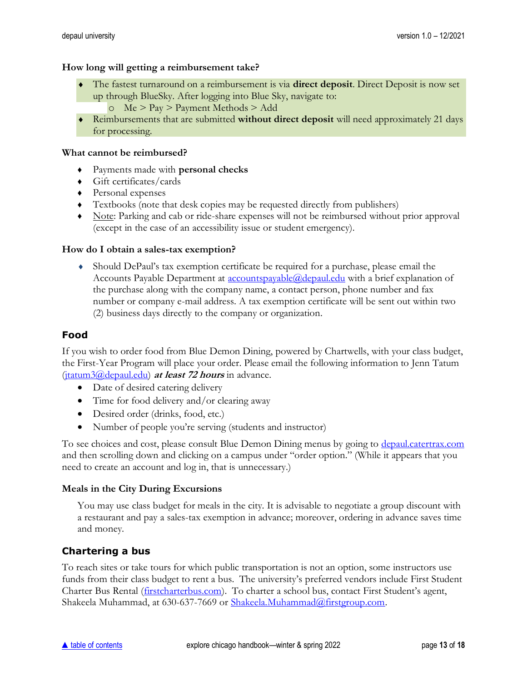#### **How long will getting a reimbursement take?**

- The fastest turnaround on a reimbursement is via **direct deposit**. Direct Deposit is now set up through BlueSky. After logging into Blue Sky, navigate to:
	- o Me > Pay > Payment Methods > Add
- Reimbursements that are submitted **without direct deposit** will need approximately 21 days for processing.

#### **What cannot be reimbursed?**

- ♦ Payments made with **personal checks**
- $\leftrightarrow$  Gift certificates/cards
- ♦ Personal expenses
- ♦ Textbooks (note that desk copies may be requested directly from publishers)
- ♦ Note: Parking and cab or ride-share expenses will not be reimbursed without prior approval (except in the case of an accessibility issue or student emergency).

#### **How do I obtain a sales-tax exemption?**

 Should DePaul's tax exemption certificate be required for a purchase, please email the Accounts Payable Department at <u>accountspayable@depaul.edu</u> with a brief explanation of the purchase along with the company name, a contact person, phone number and fax number or company e-mail address. A tax exemption certificate will be sent out within two (2) business days directly to the company or organization.

#### <span id="page-12-0"></span>**Food**

If you wish to order food from Blue Demon Dining, powered by Chartwells, with your class budget, the First-Year Program will place your order. Please email the following information to Jenn Tatum [\(jtatum3@depaul.edu\)](mailto:jtatum3@depaul.edu) **at least 72 hours** in advance.

- Date of desired catering delivery
- Time for food delivery and/or clearing away
- Desired order (drinks, food, etc.)
- Number of people you're serving (students and instructor)

To see choices and cost, please consult Blue Demon Dining menus by going to [depaul.catertrax.com](https://depaul.catertrax.com/) and then scrolling down and clicking on a campus under "order option." (While it appears that you need to create an account and log in, that is unnecessary.)

#### **Meals in the City During Excursions**

You may use class budget for meals in the city. It is advisable to negotiate a group discount with a restaurant and pay a sales-tax exemption in advance; moreover, ordering in advance saves time and money.

#### <span id="page-12-1"></span>**Chartering a bus**

To reach sites or take tours for which public transportation is not an option, some instructors use funds from their class budget to rent a bus. The university's preferred vendors include First Student Charter Bus Rental [\(firstcharterbus.com](http://www.firstcharterbus.com/)). To charter a school bus, contact First Student's agent, Shakeela Muhammad, at 630-637-7669 or [Shakeela.Muhammad@firstgroup.com.](mailto:Shakeela.Muhammad@firstgroup.com)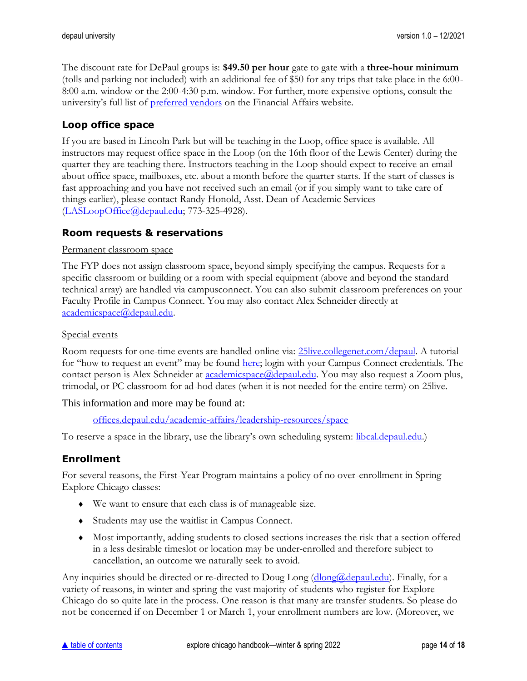The discount rate for DePaul groups is: **\$49.50 per hour** gate to gate with a **three-hour minimum** (tolls and parking not included) with an additional fee of \$50 for any trips that take place in the 6:00- 8:00 a.m. window or the 2:00-4:30 p.m. window. For further, more expensive options, consult the university's full list of **[preferred vendors](https://financialaffairs.depaul.edu/procurement/prefvendors.aspx)** on the Financial Affairs website.

## <span id="page-13-0"></span>**Loop office space**

If you are based in Lincoln Park but will be teaching in the Loop, office space is available. All instructors may request office space in the Loop (on the 16th floor of the Lewis Center) during the quarter they are teaching there. Instructors teaching in the Loop should expect to receive an email about office space, mailboxes, etc. about a month before the quarter starts. If the start of classes is fast approaching and you have not received such an email (or if you simply want to take care of things earlier), please contact Randy Honold, Asst. Dean of Academic Services [\(LASLoopOffice@depaul.edu;](mailto:LASLoopOffice@depaul.edu) 773-325-4928).

## <span id="page-13-1"></span>**Room requests & reservations**

#### Permanent classroom space

The FYP does not assign classroom space, beyond simply specifying the campus. Requests for a specific classroom or building or a room with special equipment (above and beyond the standard technical array) are handled via campusconnect. You can also submit classroom preferences on your Faculty Profile in Campus Connect. You may also contact Alex Schneider directly at [academicspace@depaul.edu.](mailto:academicspace@depaul.edu)

#### Special events

Room requests for one-time events are handled online via: [25live.collegenet.com/depaul.](https://25live.collegenet.com/depaul) A tutorial for "how to request an event" may be found [here;](https://academics.depaul.edu/liberal-studies/first-year-program/for-faculty/Documents/2016-2017/How_to_Request_an_Event_Tutorial.pdf) login with your Campus Connect credentials. The contact person is Alex Schneider at **academicspace**@depaul.edu. You may also request a Zoom plus, trimodal, or PC classroom for ad-hod dates (when it is not needed for the entire term) on 25live.

#### This information and more may be found at:

[offices.depaul.edu/academic-affairs/leadership-resources/space](https://offices.depaul.edu/academic-affairs/leadership-resources/space/Pages/default.aspx)

To reserve a space in the library, use the library's own scheduling system: [libcal.depaul.edu.](http://libcal.depaul.edu/))

#### <span id="page-13-2"></span>**Enrollment**

For several reasons, the First-Year Program maintains a policy of no over-enrollment in Spring Explore Chicago classes:

- We want to ensure that each class is of manageable size.
- Students may use the waitlist in Campus Connect.
- Most importantly, adding students to closed sections increases the risk that a section offered in a less desirable timeslot or location may be under-enrolled and therefore subject to cancellation, an outcome we naturally seek to avoid.

Any inquiries should be directed or re-directed to Doug Long [\(dlong@depaul.edu\)](mailto:dlong@depaul.edu). Finally, for a variety of reasons, in winter and spring the vast majority of students who register for Explore Chicago do so quite late in the process. One reason is that many are transfer students. So please do not be concerned if on December 1 or March 1, your enrollment numbers are low. (Moreover, we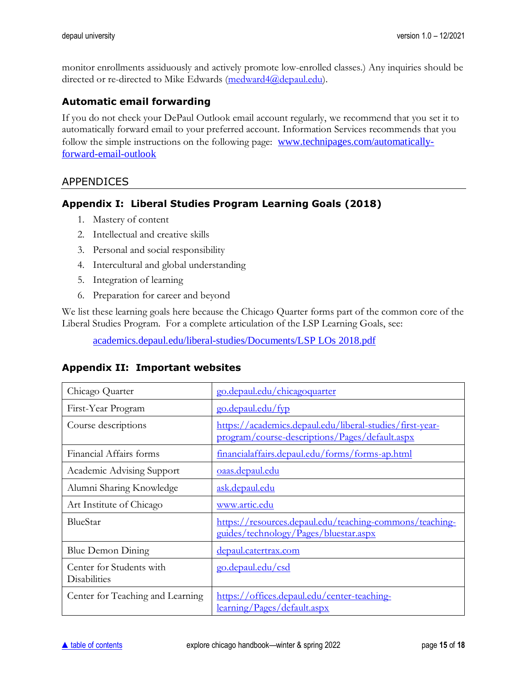monitor enrollments assiduously and actively promote low-enrolled classes.) Any inquiries should be directed or re-directed to Mike Edwards [\(medward4@depaul.edu\)](mailto:medward4@depaul.edu).

## <span id="page-14-0"></span>**Automatic email forwarding**

If you do not check your DePaul Outlook email account regularly, we recommend that you set it to automatically forward email to your preferred account. Information Services recommends that you follow the simple instructions on the following page: [www.technipages.com/automatically](http://www.technipages.com/automatically-forward-email-outlook)[forward-email-outlook](http://www.technipages.com/automatically-forward-email-outlook)

#### <span id="page-14-1"></span>APPENDICES

## <span id="page-14-2"></span>**Appendix I: Liberal Studies Program Learning Goals (2018)**

- 1. Mastery of content
- 2. Intellectual and creative skills
- 3. Personal and social responsibility
- 4. Intercultural and global understanding
- 5. Integration of learning
- 6. Preparation for career and beyond

We list these learning goals here because the Chicago Quarter forms part of the common core of the Liberal Studies Program. For a complete articulation of the LSP Learning Goals, see:

[academics.depaul.edu/liberal-studies/Documents/LSP LOs 2018.pdf](https://academics.depaul.edu/liberal-studies/Documents/LSP%20LOs%202018.pdf)

| Chicago Quarter                                 | go.depaul.edu/chicagoquarter                                                                               |
|-------------------------------------------------|------------------------------------------------------------------------------------------------------------|
| First-Year Program                              | go.depaul.edu/fyp                                                                                          |
| Course descriptions                             | https://academics.depaul.edu/liberal-studies/first-year-<br>program/course-descriptions/Pages/default.aspx |
| Financial Affairs forms                         | financialaffairs.depaul.edu/forms/forms-ap.html                                                            |
| Academic Advising Support                       | <u>oaas.depaul.edu</u>                                                                                     |
| Alumni Sharing Knowledge                        | ask.depaul.edu                                                                                             |
| Art Institute of Chicago                        | www.artic.edu                                                                                              |
| BlueStar                                        | https://resources.depaul.edu/teaching-commons/teaching-<br>guides/technology/Pages/bluestar.aspx           |
| Blue Demon Dining                               | depaul.catertrax.com                                                                                       |
| Center for Students with<br><b>Disabilities</b> | go.depaul.edu/csd                                                                                          |
| Center for Teaching and Learning                | https://offices.depaul.edu/center-teaching-<br>learning/Pages/default.aspx                                 |

#### <span id="page-14-3"></span>**Appendix II: Important websites**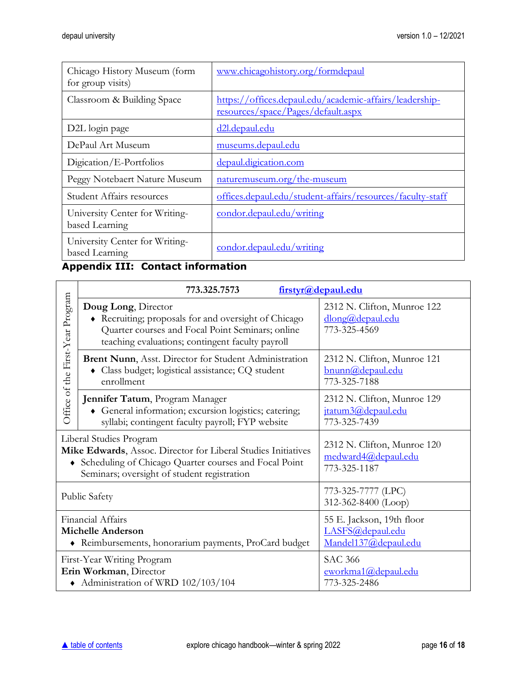| Chicago History Museum (form<br>for group visits) | www.chicagohistory.org/formdepaul                                                             |
|---------------------------------------------------|-----------------------------------------------------------------------------------------------|
| Classroom & Building Space                        | https://offices.depaul.edu/academic-affairs/leadership-<br>resources/space/Pages/default.aspx |
| D2L login page                                    | d2l.depaul.edu                                                                                |
| DePaul Art Museum                                 | museums.depaul.edu                                                                            |
| Digication/E-Portfolios                           | depaul.digication.com                                                                         |
| Peggy Notebaert Nature Museum                     | naturemuseum.org/the-museum                                                                   |
| <b>Student Affairs resources</b>                  | offices.depaul.edu/student-affairs/resources/faculty-staff                                    |
| University Center for Writing-<br>based Learning  | <u>condor.depaul.edu/writing</u>                                                              |
| University Center for Writing-<br>based Learning  | <u>condor.depaul.edu/writing</u>                                                              |

# <span id="page-15-0"></span>**Appendix III: Contact information**

|                                                                                                        | 773.325.7573                                                                                                                                                                                     | firstyr@depaul.edu                                                    |
|--------------------------------------------------------------------------------------------------------|--------------------------------------------------------------------------------------------------------------------------------------------------------------------------------------------------|-----------------------------------------------------------------------|
| Office of the First-Year Program                                                                       | Doug Long, Director<br>Recruiting; proposals for and oversight of Chicago<br>Quarter courses and Focal Point Seminars; online<br>teaching evaluations; contingent faculty payroll                | 2312 N. Clifton, Munroe 122<br>dlong@depaul.edu<br>773-325-4569       |
|                                                                                                        | <b>Brent Nunn</b> , Asst. Director for Student Administration<br>• Class budget; logistical assistance; CQ student<br>enrollment                                                                 | 2312 N. Clifton, Munroe 121<br>bnunn@depaul.edu<br>773-325-7188       |
|                                                                                                        | Jennifer Tatum, Program Manager<br>• General information; excursion logistics; catering;<br>syllabi; contingent faculty payroll; FYP website                                                     | 2312 N. Clifton, Munroe 129<br>jtatum3@depaul.edu<br>773-325-7439     |
|                                                                                                        | Liberal Studies Program<br>Mike Edwards, Assoc. Director for Liberal Studies Initiatives<br>Scheduling of Chicago Quarter courses and Focal Point<br>Seminars; oversight of student registration | 2312 N. Clifton, Munroe 120<br>medward4@depaul.edu<br>773-325-1187    |
| <b>Public Safety</b>                                                                                   |                                                                                                                                                                                                  | 773-325-7777 (LPC)<br>312-362-8400 (Loop)                             |
| Financial Affairs<br><b>Michelle Anderson</b><br>• Reimbursements, honorarium payments, ProCard budget |                                                                                                                                                                                                  | 55 E. Jackson, 19th floor<br>LASFS@depaul.edu<br>Mandel137@depaul.edu |
| First-Year Writing Program<br>Erin Workman, Director<br>• Administration of WRD 102/103/104            |                                                                                                                                                                                                  | <b>SAC 366</b><br>eworkma1@depaul.edu<br>773-325-2486                 |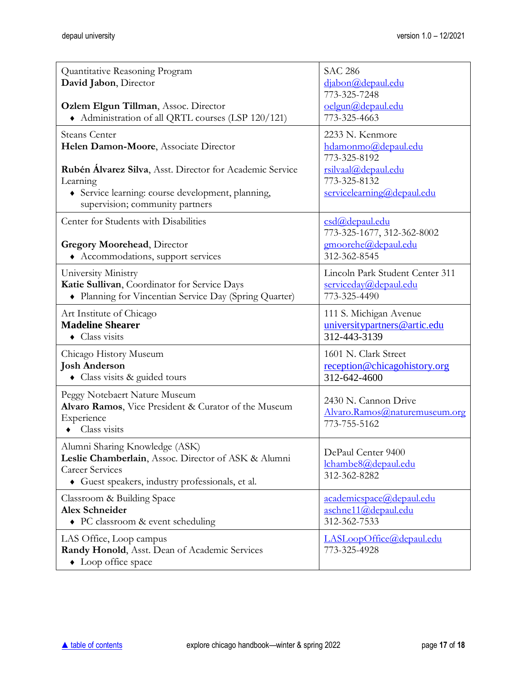| Quantitative Reasoning Program<br>David Jabon, Director<br>Ozlem Elgun Tillman, Assoc. Director<br>• Administration of all QRTL courses (LSP 120/121)               | <b>SAC 286</b><br>djabon@depaul.edu<br>773-325-7248<br>oelgun@depaul.edu<br>773-325-4663 |
|---------------------------------------------------------------------------------------------------------------------------------------------------------------------|------------------------------------------------------------------------------------------|
| <b>Steans Center</b>                                                                                                                                                | 2233 N. Kenmore                                                                          |
| Helen Damon-Moore, Associate Director                                                                                                                               | hdamonmo@depaul.edu                                                                      |
| Rubén Álvarez Silva, Asst. Director for Academic Service                                                                                                            | 773-325-8192                                                                             |
| Learning                                                                                                                                                            | rsilvaal@depaul.edu                                                                      |
| • Service learning: course development, planning,                                                                                                                   | 773-325-8132                                                                             |
| supervision; community partners                                                                                                                                     | servicelearning@depaul.edu                                                               |
| Center for Students with Disabilities<br><b>Gregory Moorehead, Director</b><br>Accommodations, support services                                                     | csd@depaul.edu<br>773-325-1677, 312-362-8002<br>gmoorehe@depaul.edu<br>312-362-8545      |
| University Ministry                                                                                                                                                 | Lincoln Park Student Center 311                                                          |
| Katie Sullivan, Coordinator for Service Days                                                                                                                        | serviceday@depaul.edu                                                                    |
| • Planning for Vincentian Service Day (Spring Quarter)                                                                                                              | 773-325-4490                                                                             |
| Art Institute of Chicago                                                                                                                                            | 111 S. Michigan Avenue                                                                   |
| <b>Madeline Shearer</b>                                                                                                                                             | universitypartners@artic.edu                                                             |
| • Class visits                                                                                                                                                      | 312-443-3139                                                                             |
| Chicago History Museum                                                                                                                                              | 1601 N. Clark Street                                                                     |
| <b>Josh Anderson</b>                                                                                                                                                | reception@chicagohistory.org                                                             |
| • Class visits & guided tours                                                                                                                                       | 312-642-4600                                                                             |
| Peggy Notebaert Nature Museum<br>Alvaro Ramos, Vice President & Curator of the Museum<br>Experience<br>Class visits<br>$\bullet$                                    | 2430 N. Cannon Drive<br>Alvaro.Ramos@naturemuseum.org<br>773-755-5162                    |
| Alumni Sharing Knowledge (ASK)<br>Leslie Chamberlain, Assoc. Director of ASK & Alumni<br><b>Career Services</b><br>• Guest speakers, industry professionals, et al. | DePaul Center 9400<br>lchambe8@depaul.edu<br>312-362-8282                                |
| Classroom & Building Space                                                                                                                                          | academicspace@depaul.edu                                                                 |
| <b>Alex Schneider</b>                                                                                                                                               | aschne11@depaul.edu                                                                      |
| • PC classroom & event scheduling                                                                                                                                   | 312-362-7533                                                                             |
| LAS Office, Loop campus<br>Randy Honold, Asst. Dean of Academic Services<br>• Loop office space                                                                     | LASLoopOffice@depaul.edu<br>773-325-4928                                                 |